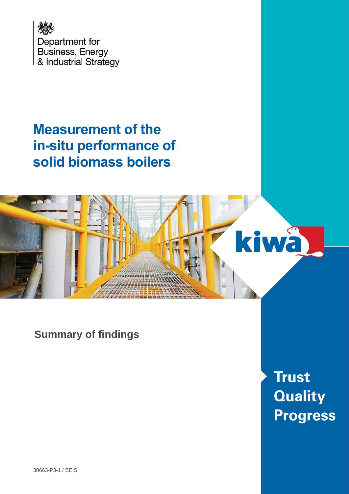

# **Measurement of the in-situ performance of solid biomass boilers**



**Summary of findings**

**Trust Quality Progress**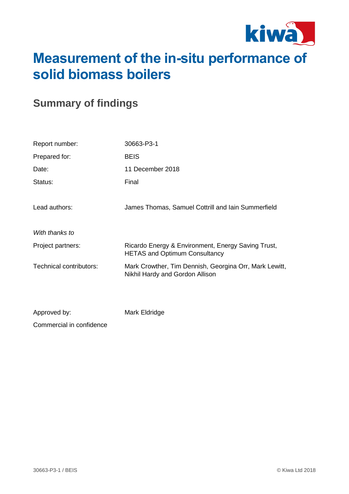

# **Measurement of the in-situ performance of solid biomass boilers**

# **Summary of findings**

| Report number:          | 30663-P3-1                                                                                 |
|-------------------------|--------------------------------------------------------------------------------------------|
| Prepared for:           | <b>BEIS</b>                                                                                |
| Date:                   | 11 December 2018                                                                           |
| Status:                 | Final                                                                                      |
| Lead authors:           | James Thomas, Samuel Cottrill and Iain Summerfield                                         |
| With thanks to          |                                                                                            |
| Project partners:       | Ricardo Energy & Environment, Energy Saving Trust,<br><b>HETAS and Optimum Consultancy</b> |
| Technical contributors: | Mark Crowther, Tim Dennish, Georgina Orr, Mark Lewitt,<br>Nikhil Hardy and Gordon Allison  |
|                         |                                                                                            |
| Approved by:            | Mark Eldridge                                                                              |

Commercial in confidence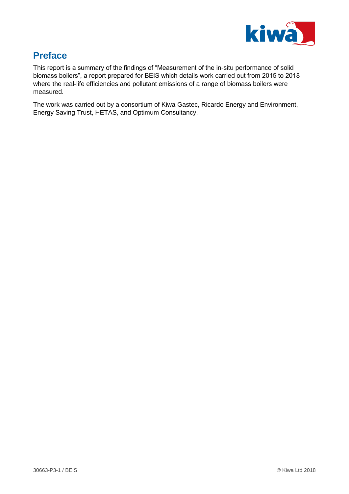

# **Preface**

This report is a summary of the findings of "Measurement of the in-situ performance of solid biomass boilers", a report prepared for BEIS which details work carried out from 2015 to 2018 where the real-life efficiencies and pollutant emissions of a range of biomass boilers were measured.

The work was carried out by a consortium of Kiwa Gastec, Ricardo Energy and Environment, Energy Saving Trust, HETAS, and Optimum Consultancy.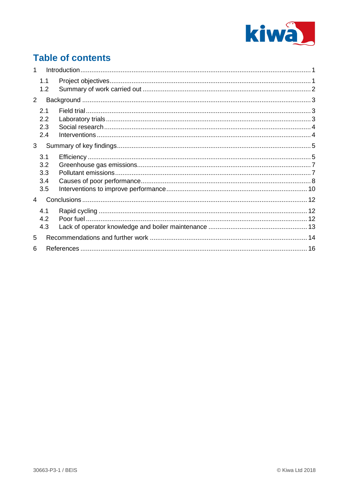

# **Table of contents**

| 1              |            |  |  |  |
|----------------|------------|--|--|--|
|                | 1.1<br>1.2 |  |  |  |
| 2              |            |  |  |  |
|                | 2.1        |  |  |  |
|                | 2.2<br>2.3 |  |  |  |
|                | 2.4        |  |  |  |
|                | 3          |  |  |  |
|                | 3.1        |  |  |  |
|                | 3.2        |  |  |  |
|                | 3.3        |  |  |  |
|                | 3.4        |  |  |  |
|                | 3.5        |  |  |  |
| $\overline{4}$ |            |  |  |  |
|                | 4.1        |  |  |  |
|                | 4.2        |  |  |  |
|                | 4.3        |  |  |  |
| 5              |            |  |  |  |
| 6              |            |  |  |  |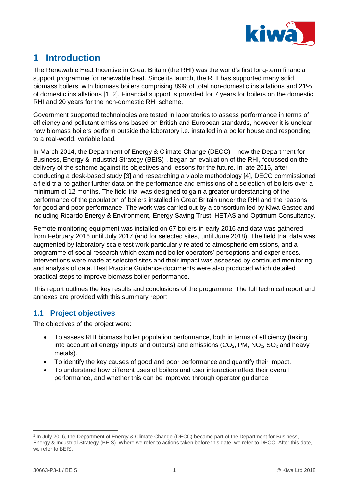

# <span id="page-4-0"></span>**1 Introduction**

The Renewable Heat Incentive in Great Britain (the RHI) was the world's first long-term financial support programme for renewable heat. Since its launch, the RHI has supported many solid biomass boilers, with biomass boilers comprising 89% of total non-domestic installations and 21% of domestic installations [1, 2]. Financial support is provided for 7 years for boilers on the domestic RHI and 20 years for the non-domestic RHI scheme.

Government supported technologies are tested in laboratories to assess performance in terms of efficiency and pollutant emissions based on British and European standards, however it is unclear how biomass boilers perform outside the laboratory i.e. installed in a boiler house and responding to a real-world, variable load.

In March 2014, the Department of Energy & Climate Change (DECC) – now the Department for Business, Energy & Industrial Strategy (BEIS)<sup>1</sup>, began an evaluation of the RHI, focussed on the delivery of the scheme against its objectives and lessons for the future. In late 2015, after conducting a desk-based study [3] and researching a viable methodology [4], DECC commissioned a field trial to gather further data on the performance and emissions of a selection of boilers over a minimum of 12 months. The field trial was designed to gain a greater understanding of the performance of the population of boilers installed in Great Britain under the RHI and the reasons for good and poor performance. The work was carried out by a consortium led by Kiwa Gastec and including Ricardo Energy & Environment, Energy Saving Trust, HETAS and Optimum Consultancy.

Remote monitoring equipment was installed on 67 boilers in early 2016 and data was gathered from February 2016 until July 2017 (and for selected sites, until June 2018). The field trial data was augmented by laboratory scale test work particularly related to atmospheric emissions, and a programme of social research which examined boiler operators' perceptions and experiences. Interventions were made at selected sites and their impact was assessed by continued monitoring and analysis of data. Best Practice Guidance documents were also produced which detailed practical steps to improve biomass boiler performance.

This report outlines the key results and conclusions of the programme. The full technical report and annexes are provided with this summary report.

# <span id="page-4-1"></span>**1.1 Project objectives**

The objectives of the project were:

- To assess RHI biomass boiler population performance, both in terms of efficiency (taking into account all energy inputs and outputs) and emissions  $(CO<sub>2</sub>, PM, NO<sub>x</sub>, SO<sub>x</sub>$  and heavy metals).
- To identify the key causes of good and poor performance and quantify their impact.
- To understand how different uses of boilers and user interaction affect their overall performance, and whether this can be improved through operator guidance.

 $\overline{a}$ 1 In July 2016, the Department of Energy & Climate Change (DECC) became part of the Department for Business, Energy & Industrial Strategy (BEIS). Where we refer to actions taken before this date, we refer to DECC. After this date, we refer to BEIS.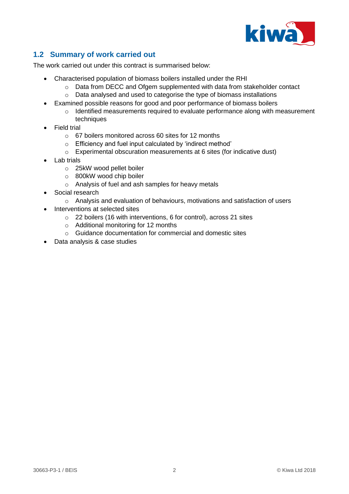

# <span id="page-5-0"></span>**1.2 Summary of work carried out**

The work carried out under this contract is summarised below:

- Characterised population of biomass boilers installed under the RHI
	- o Data from DECC and Ofgem supplemented with data from stakeholder contact
	- o Data analysed and used to categorise the type of biomass installations
- Examined possible reasons for good and poor performance of biomass boilers
	- o Identified measurements required to evaluate performance along with measurement techniques
- Field trial
	- o 67 boilers monitored across 60 sites for 12 months
	- o Efficiency and fuel input calculated by 'indirect method'
	- $\circ$  Experimental obscuration measurements at 6 sites (for indicative dust)
- **Lab trials** 
	- o 25kW wood pellet boiler
	- o 800kW wood chip boiler
	- o Analysis of fuel and ash samples for heavy metals
- Social research
	- o Analysis and evaluation of behaviours, motivations and satisfaction of users
- Interventions at selected sites
	- o 22 boilers (16 with interventions, 6 for control), across 21 sites
	- o Additional monitoring for 12 months
	- o Guidance documentation for commercial and domestic sites
- Data analysis & case studies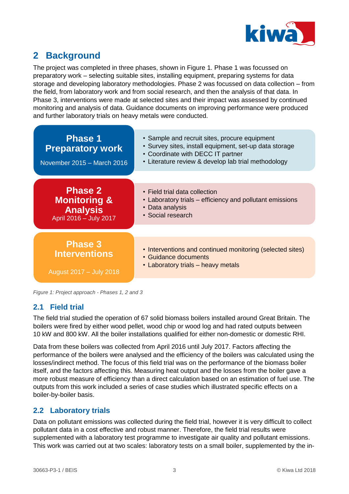

# <span id="page-6-0"></span>**2 Background**

The project was completed in three phases, shown in [Figure 1.](#page-6-3) Phase 1 was focussed on preparatory work – selecting suitable sites, installing equipment, preparing systems for data storage and developing laboratory methodologies. Phase 2 was focussed on data collection – from the field, from laboratory work and from social research, and then the analysis of that data. In Phase 3, interventions were made at selected sites and their impact was assessed by continued monitoring and analysis of data. Guidance documents on improving performance were produced and further laboratory trials on heavy metals were conducted.



<span id="page-6-3"></span>*Figure 1: Project approach - Phases 1, 2 and 3*

### <span id="page-6-1"></span>**2.1 Field trial**

The field trial studied the operation of 67 solid biomass boilers installed around Great Britain. The boilers were fired by either wood pellet, wood chip or wood log and had rated outputs between 10 kW and 800 kW. All the boiler installations qualified for either non-domestic or domestic RHI.

Data from these boilers was collected from April 2016 until July 2017. Factors affecting the performance of the boilers were analysed and the efficiency of the boilers was calculated using the losses/indirect method. The focus of this field trial was on the performance of the biomass boiler itself, and the factors affecting this. Measuring heat output and the losses from the boiler gave a more robust measure of efficiency than a direct calculation based on an estimation of fuel use. The outputs from this work included a series of case studies which illustrated specific effects on a boiler-by-boiler basis.

# <span id="page-6-2"></span>**2.2 Laboratory trials**

Data on pollutant emissions was collected during the field trial, however it is very difficult to collect pollutant data in a cost effective and robust manner. Therefore, the field trial results were supplemented with a laboratory test programme to investigate air quality and pollutant emissions. This work was carried out at two scales: laboratory tests on a small boiler, supplemented by the in-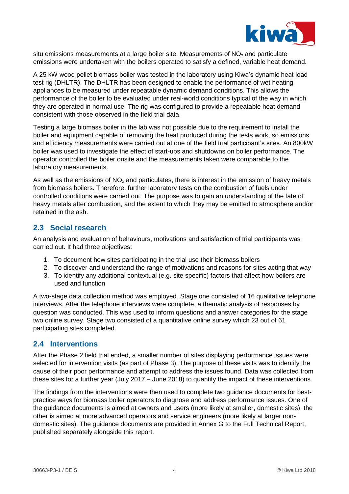

situ emissions measurements at a large boiler site. Measurements of  $NO<sub>x</sub>$  and particulate emissions were undertaken with the boilers operated to satisfy a defined, variable heat demand.

A 25 kW wood pellet biomass boiler was tested in the laboratory using Kiwa's dynamic heat load test rig (DHLTR). The DHLTR has been designed to enable the performance of wet heating appliances to be measured under repeatable dynamic demand conditions. This allows the performance of the boiler to be evaluated under real-world conditions typical of the way in which they are operated in normal use. The rig was configured to provide a repeatable heat demand consistent with those observed in the field trial data.

Testing a large biomass boiler in the lab was not possible due to the requirement to install the boiler and equipment capable of removing the heat produced during the tests work, so emissions and efficiency measurements were carried out at one of the field trial participant's sites. An 800kW boiler was used to investigate the effect of start-ups and shutdowns on boiler performance. The operator controlled the boiler onsite and the measurements taken were comparable to the laboratory measurements.

As well as the emissions of  $NO<sub>x</sub>$  and particulates, there is interest in the emission of heavy metals from biomass boilers. Therefore, further laboratory tests on the combustion of fuels under controlled conditions were carried out. The purpose was to gain an understanding of the fate of heavy metals after combustion, and the extent to which they may be emitted to atmosphere and/or retained in the ash.

## <span id="page-7-0"></span>**2.3 Social research**

An analysis and evaluation of behaviours, motivations and satisfaction of trial participants was carried out. It had three objectives:

- 1. To document how sites participating in the trial use their biomass boilers
- 2. To discover and understand the range of motivations and reasons for sites acting that way
- 3. To identify any additional contextual (e.g. site specific) factors that affect how boilers are used and function

A two-stage data collection method was employed. Stage one consisted of 16 qualitative telephone interviews. After the telephone interviews were complete, a thematic analysis of responses by question was conducted. This was used to inform questions and answer categories for the stage two online survey. Stage two consisted of a quantitative online survey which 23 out of 61 participating sites completed.

### <span id="page-7-1"></span>**2.4 Interventions**

After the Phase 2 field trial ended, a smaller number of sites displaying performance issues were selected for intervention visits (as part of Phase 3). The purpose of these visits was to identify the cause of their poor performance and attempt to address the issues found. Data was collected from these sites for a further year (July 2017 – June 2018) to quantify the impact of these interventions.

The findings from the interventions were then used to complete two guidance documents for bestpractice ways for biomass boiler operators to diagnose and address performance issues. One of the guidance documents is aimed at owners and users (more likely at smaller, domestic sites), the other is aimed at more advanced operators and service engineers (more likely at larger nondomestic sites). The guidance documents are provided in Annex G to the Full Technical Report, published separately alongside this report.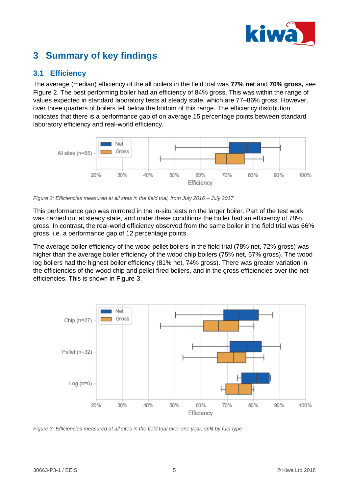

# <span id="page-8-0"></span>**3 Summary of key findings**

## <span id="page-8-1"></span>**3.1 Efficiency**

The average (median) efficiency of the all boilers in the field trial was **77% net** and **70% gross,** see [Figure 2.](#page-8-2) The best performing boiler had an efficiency of 84% gross. This was within the range of values expected in standard laboratory tests at steady state, which are 77–86% gross. However, over three quarters of boilers fell below the bottom of this range. The efficiency distribution indicates that there is a performance gap of on average 15 percentage points between standard laboratory efficiency and real-world efficiency.



<span id="page-8-2"></span>*Figure 2: Efficiencies measured at all sites in the field trial, from July 2016 – July 2017*

This performance gap was mirrored in the in-situ tests on the larger boiler. Part of the test work was carried out at steady state, and under these conditions the boiler had an efficiency of 78% gross. In contrast, the real-world efficiency observed from the same boiler in the field trial was 66% gross, i.e. a performance gap of 12 percentage points.

The average boiler efficiency of the wood pellet boilers in the field trial (78% net, 72% gross) was higher than the average boiler efficiency of the wood chip boilers (75% net, 67% gross). The wood log boilers had the highest boiler efficiency (81% net, 74% gross). There was greater variation in the efficiencies of the wood chip and pellet fired boilers, and in the gross efficiencies over the net efficiencies. This is shown in [Figure 3.](#page-8-3)



<span id="page-8-3"></span>*Figure 3: Efficiencies measured at all sites in the field trial over one year, split by fuel type*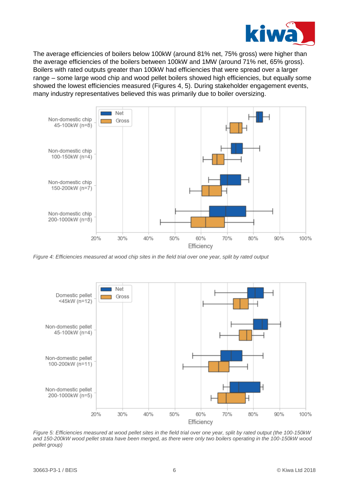

The average efficiencies of boilers below 100kW (around 81% net, 75% gross) were higher than the average efficiencies of the boilers between 100kW and 1MW (around 71% net, 65% gross). Boilers with rated outputs greater than 100kW had efficiencies that were spread over a larger range – some large wood chip and wood pellet boilers showed high efficiencies, but equally some showed the lowest efficiencies measured (Figures [4,](#page-9-0) [5\)](#page-9-1). During stakeholder engagement events, many industry representatives believed this was primarily due to boiler oversizing.



<span id="page-9-0"></span>*Figure 4: Efficiencies measured at wood chip sites in the field trial over one year, split by rated output*



<span id="page-9-1"></span>*Figure 5: Efficiencies measured at wood pellet sites in the field trial over one year, split by rated output (the 100-150kW and 150-200kW wood pellet strata have been merged, as there were only two boilers operating in the 100-150kW wood pellet group)*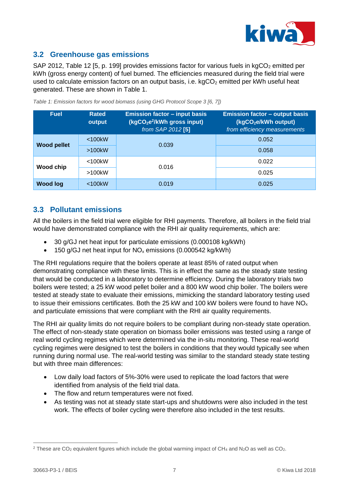

## <span id="page-10-0"></span>**3.2 Greenhouse gas emissions**

SAP 2012, Table 12 [5, p. 199] provides emissions factor for various fuels in  $kqCO<sub>2</sub>$  emitted per kWh (gross energy content) of fuel burned. The efficiencies measured during the field trial were used to calculate emission factors on an output basis, i.e.  $kgCO<sub>2</sub>$  emitted per kWh useful heat generated. These are shown in [Table 1.](#page-10-2)

| <b>Fuel</b>        | <b>Rated</b><br>output | <b>Emission factor - input basis</b><br>(kgCO <sub>2</sub> e <sup>2</sup> /kWh gross input)<br>from SAP 2012 [5] | <b>Emission factor - output basis</b><br>(kgCO <sub>2</sub> e/kWh output)<br>from efficiency measurements |
|--------------------|------------------------|------------------------------------------------------------------------------------------------------------------|-----------------------------------------------------------------------------------------------------------|
|                    | $<$ 100 $k$ W          | 0.039                                                                                                            | 0.052                                                                                                     |
| <b>Wood pellet</b> | $>100$ kW              |                                                                                                                  | 0.058                                                                                                     |
| Wood chip          | $<$ 100 $k$ W          | 0.016                                                                                                            | 0.022                                                                                                     |
|                    | $>100$ k $W$           |                                                                                                                  | 0.025                                                                                                     |
| <b>Wood log</b>    | $<$ 100 $k$ W          | 0.019                                                                                                            | 0.025                                                                                                     |

<span id="page-10-2"></span>*Table 1: Emission factors for wood biomass (using GHG Protocol Scope 3 [6, 7])*

# <span id="page-10-1"></span>**3.3 Pollutant emissions**

All the boilers in the field trial were eligible for RHI payments. Therefore, all boilers in the field trial would have demonstrated compliance with the RHI air quality requirements, which are:

- 30 g/GJ net heat input for particulate emissions (0.000108 kg/kWh)
- 150 g/GJ net heat input for  $NO<sub>x</sub>$  emissions (0.000542 kg/kWh)

The RHI regulations require that the boilers operate at least 85% of rated output when demonstrating compliance with these limits. This is in effect the same as the steady state testing that would be conducted in a laboratory to determine efficiency. During the laboratory trials two boilers were tested; a 25 kW wood pellet boiler and a 800 kW wood chip boiler. The boilers were tested at steady state to evaluate their emissions, mimicking the standard laboratory testing used to issue their emissions certificates. Both the 25 kW and 100 kW boilers were found to have  $NO<sub>x</sub>$ and particulate emissions that were compliant with the RHI air quality requirements.

The RHI air quality limits do not require boilers to be compliant during non-steady state operation. The effect of non-steady state operation on biomass boiler emissions was tested using a range of real world cycling regimes which were determined via the in-situ monitoring. These real-world cycling regimes were designed to test the boilers in conditions that they would typically see when running during normal use. The real-world testing was similar to the standard steady state testing but with three main differences:

- Low daily load factors of 5%-30% were used to replicate the load factors that were identified from analysis of the field trial data.
- The flow and return temperatures were not fixed.
- As testing was not at steady state start-ups and shutdowns were also included in the test work. The effects of boiler cycling were therefore also included in the test results.

 $\overline{a}$ 

<sup>&</sup>lt;sup>2</sup> These are CO<sub>2</sub> equivalent figures which include the global warming impact of CH<sub>4</sub> and N<sub>2</sub>O as well as CO<sub>2</sub>.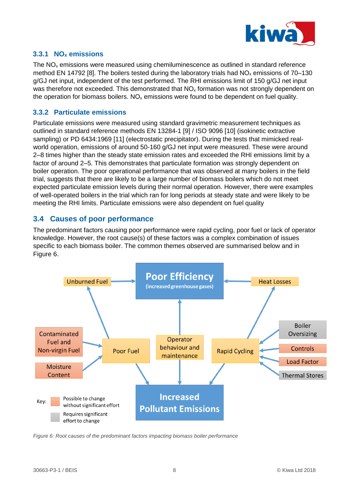

### **3.3.1 NO<sup>x</sup> emissions**

The  $NO<sub>x</sub>$  emissions were measured using chemiluminescence as outlined in standard reference method EN 14792 [8]. The boilers tested during the laboratory trials had  $NO<sub>x</sub>$  emissions of 70–130 g/GJ net input, independent of the test performed. The RHI emissions limit of 150 g/GJ net input was therefore not exceeded. This demonstrated that NO<sub>x</sub> formation was not strongly dependent on the operation for biomass boilers.  $NO<sub>x</sub>$  emissions were found to be dependent on fuel quality.

#### **3.3.2 Particulate emissions**

Particulate emissions were measured using standard gravimetric measurement techniques as outlined in standard reference methods EN 13284-1 [9] / ISO 9096 [10] (isokinetic extractive sampling) or PD 6434:1969 [11] (electrostatic precipitator). During the tests that mimicked realworld operation, emissions of around 50-160 g/GJ net input were measured. These were around 2–8 times higher than the steady state emission rates and exceeded the RHI emissions limit by a factor of around 2–5. This demonstrates that particulate formation was strongly dependent on boiler operation. The poor operational performance that was observed at many boilers in the field trial, suggests that there are likely to be a large number of biomass boilers which do not meet expected particulate emission levels during their normal operation. However, there were examples of well-operated boilers in the trial which ran for long periods at steady state and were likely to be meeting the RHI limits. Particulate emissions were also dependent on fuel quality

### <span id="page-11-0"></span>**3.4 Causes of poor performance**

The predominant factors causing poor performance were rapid cycling, poor fuel or lack of operator knowledge. However, the root cause(s) of these factors was a complex combination of issues specific to each biomass boiler. The common themes observed are summarised below and in [Figure 6.](#page-11-1)



<span id="page-11-1"></span>*Figure 6: Root causes of the predominant factors impacting biomass boiler performance*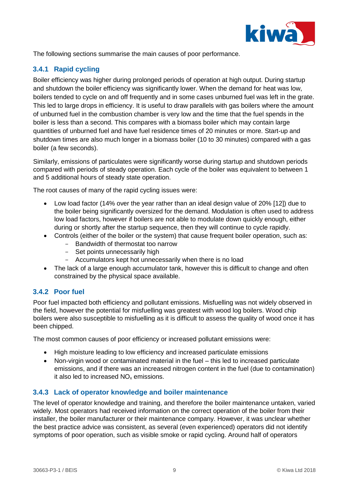

The following sections summarise the main causes of poor performance.

## **3.4.1 Rapid cycling**

Boiler efficiency was higher during prolonged periods of operation at high output. During startup and shutdown the boiler efficiency was significantly lower. When the demand for heat was low, boilers tended to cycle on and off frequently and in some cases unburned fuel was left in the grate. This led to large drops in efficiency. It is useful to draw parallels with gas boilers where the amount of unburned fuel in the combustion chamber is very low and the time that the fuel spends in the boiler is less than a second. This compares with a biomass boiler which may contain large quantities of unburned fuel and have fuel residence times of 20 minutes or more. Start-up and shutdown times are also much longer in a biomass boiler (10 to 30 minutes) compared with a gas boiler (a few seconds).

Similarly, emissions of particulates were significantly worse during startup and shutdown periods compared with periods of steady operation. Each cycle of the boiler was equivalent to between 1 and 5 additional hours of steady state operation.

The root causes of many of the rapid cycling issues were:

- Low load factor (14% over the year rather than an ideal design value of 20% [12]) due to the boiler being significantly oversized for the demand. Modulation is often used to address low load factors, however if boilers are not able to modulate down quickly enough, either during or shortly after the startup sequence, then they will continue to cycle rapidly.
- Controls (either of the boiler or the system) that cause frequent boiler operation, such as:
	- Bandwidth of thermostat too narrow
	- Set points unnecessarily high
	- Accumulators kept hot unnecessarily when there is no load
- The lack of a large enough accumulator tank, however this is difficult to change and often constrained by the physical space available.

#### **3.4.2 Poor fuel**

Poor fuel impacted both efficiency and pollutant emissions. Misfuelling was not widely observed in the field, however the potential for misfuelling was greatest with wood log boilers. Wood chip boilers were also susceptible to misfuelling as it is difficult to assess the quality of wood once it has been chipped.

The most common causes of poor efficiency or increased pollutant emissions were:

- High moisture leading to low efficiency and increased particulate emissions
- Non-virgin wood or contaminated material in the fuel this led to increased particulate emissions, and if there was an increased nitrogen content in the fuel (due to contamination) it also led to increased  $NO<sub>x</sub>$  emissions.

#### **3.4.3 Lack of operator knowledge and boiler maintenance**

The level of operator knowledge and training, and therefore the boiler maintenance untaken, varied widely. Most operators had received information on the correct operation of the boiler from their installer, the boiler manufacturer or their maintenance company. However, it was unclear whether the best practice advice was consistent, as several (even experienced) operators did not identify symptoms of poor operation, such as visible smoke or rapid cycling. Around half of operators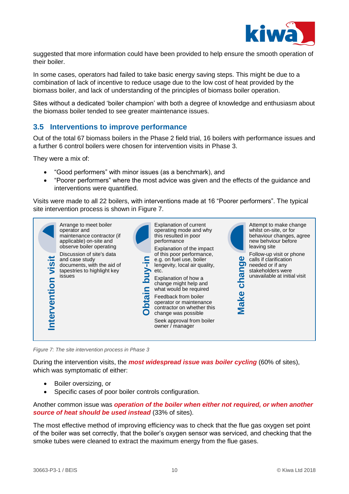

suggested that more information could have been provided to help ensure the smooth operation of their boiler.

In some cases, operators had failed to take basic energy saving steps. This might be due to a combination of lack of incentive to reduce usage due to the low cost of heat provided by the biomass boiler, and lack of understanding of the principles of biomass boiler operation.

Sites without a dedicated 'boiler champion' with both a degree of knowledge and enthusiasm about the biomass boiler tended to see greater maintenance issues.

### <span id="page-13-0"></span>**3.5 Interventions to improve performance**

Out of the total 67 biomass boilers in the Phase 2 field trial, 16 boilers with performance issues and a further 6 control boilers were chosen for intervention visits in Phase 3.

They were a mix of:

- "Good performers" with minor issues (as a benchmark), and
- "Poorer performers" where the most advice was given and the effects of the guidance and interventions were quantified.

Visits were made to all 22 boilers, with interventions made at 16 "Poorer performers". The typical site intervention process is shown in [Figure 7.](#page-13-1)



*Figure 7: The site intervention process in Phase 3*

<span id="page-13-1"></span>During the intervention visits, the *most widespread issue was boiler cycling* (60% of sites), which was symptomatic of either:

- Boiler oversizing, or
- Specific cases of poor boiler controls configuration.

Another common issue was *operation of the boiler when either not required, or when another source of heat should be used instead* (33% of sites).

The most effective method of improving efficiency was to check that the flue gas oxygen set point of the boiler was set correctly, that the boiler's oxygen sensor was serviced, and checking that the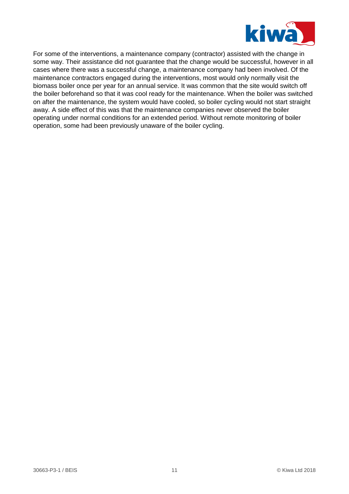

For some of the interventions, a maintenance company (contractor) assisted with the change in some way. Their assistance did not guarantee that the change would be successful, however in all cases where there was a successful change, a maintenance company had been involved. Of the maintenance contractors engaged during the interventions, most would only normally visit the biomass boiler once per year for an annual service. It was common that the site would switch off the boiler beforehand so that it was cool ready for the maintenance. When the boiler was switched on after the maintenance, the system would have cooled, so boiler cycling would not start straight away. A side effect of this was that the maintenance companies never observed the boiler operating under normal conditions for an extended period. Without remote monitoring of boiler operation, some had been previously unaware of the boiler cycling.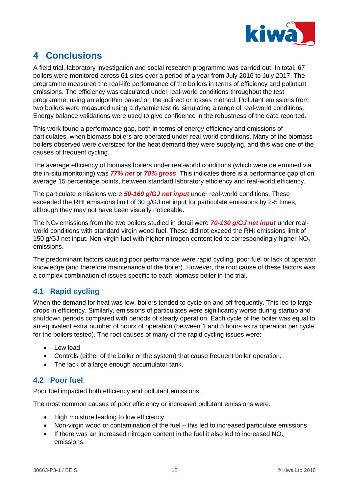

# <span id="page-15-0"></span>**4 Conclusions**

A field trial, laboratory investigation and social research programme was carried out. In total, 67 boilers were monitored across 61 sites over a period of a year from July 2016 to July 2017. The programme measured the real-life performance of the boilers in terms of efficiency and pollutant emissions. The efficiency was calculated under real-world conditions throughout the test programme, using an algorithm based on the indirect or losses method. Pollutant emissions from two boilers were measured using a dynamic test rig simulating a range of real-world conditions. Energy balance validations were used to give confidence in the robustness of the data reported.

This work found a performance gap, both in terms of energy efficiency and emissions of particulates, when biomass boilers are operated under real-world conditions. Many of the biomass boilers observed were oversized for the heat demand they were supplying, and this was one of the causes of frequent cycling.

The average efficiency of biomass boilers under real-world conditions (which were determined via the in-situ monitoring) was *77% net* or *70% gross*. This indicates there is a performance gap of on average 15 percentage points, between standard laboratory efficiency and real-world efficiency.

The particulate emissions were *50-160 g/GJ net input* under real-world conditions. These exceeded the RHI emissions limit of 30 g/GJ net input for particulate emissions by 2-5 times, although they may not have been visually noticeable.

The NO<sub>x</sub> emissions from the two boilers studied in detail were **70-130 g/GJ net input** under realworld conditions with standard virgin wood fuel. These did not exceed the RHI emissions limit of 150 g/GJ net input. Non-virgin fuel with higher nitrogen content led to correspondingly higher  $NO<sub>x</sub>$ emissions.

The predominant factors causing poor performance were rapid cycling, poor fuel or lack of operator knowledge (and therefore maintenance of the boiler). However, the root cause of these factors was a complex combination of issues specific to each biomass boiler in the trial.

# <span id="page-15-1"></span>**4.1 Rapid cycling**

When the demand for heat was low, boilers tended to cycle on and off frequently. This led to large drops in efficiency. Similarly, emissions of particulates were significantly worse during startup and shutdown periods compared with periods of steady operation. Each cycle of the boiler was equal to an equivalent extra number of hours of operation (between 1 and 5 hours extra operation per cycle for the boilers tested). The root causes of many of the rapid cycling issues were:

- Low load
- Controls (either of the boiler or the system) that cause frequent boiler operation.
- The lack of a large enough accumulator tank.

# <span id="page-15-2"></span>**4.2 Poor fuel**

Poor fuel impacted both efficiency and pollutant emissions.

The most common causes of poor efficiency or increased pollutant emissions were:

- High moisture leading to low efficiency.
- Non-virgin wood or contamination of the fuel this led to increased particulate emissions.
- If there was an increased nitrogen content in the fuel it also led to increased  $NO<sub>x</sub>$ emissions.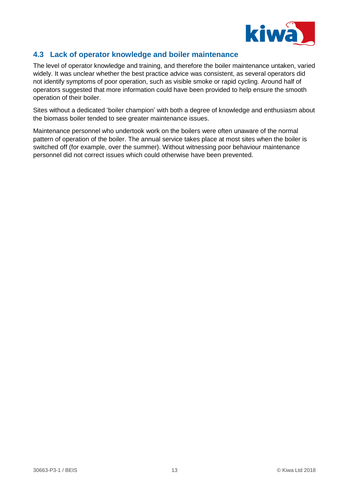

### <span id="page-16-0"></span>**4.3 Lack of operator knowledge and boiler maintenance**

The level of operator knowledge and training, and therefore the boiler maintenance untaken, varied widely. It was unclear whether the best practice advice was consistent, as several operators did not identify symptoms of poor operation, such as visible smoke or rapid cycling. Around half of operators suggested that more information could have been provided to help ensure the smooth operation of their boiler.

Sites without a dedicated 'boiler champion' with both a degree of knowledge and enthusiasm about the biomass boiler tended to see greater maintenance issues.

Maintenance personnel who undertook work on the boilers were often unaware of the normal pattern of operation of the boiler. The annual service takes place at most sites when the boiler is switched off (for example, over the summer). Without witnessing poor behaviour maintenance personnel did not correct issues which could otherwise have been prevented.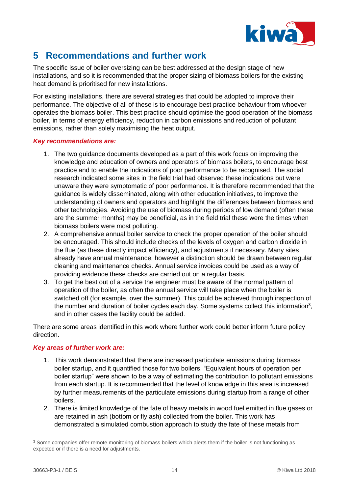

# <span id="page-17-0"></span>**5 Recommendations and further work**

The specific issue of boiler oversizing can be best addressed at the design stage of new installations, and so it is recommended that the proper sizing of biomass boilers for the existing heat demand is prioritised for new installations.

For existing installations, there are several strategies that could be adopted to improve their performance. The objective of all of these is to encourage best practice behaviour from whoever operates the biomass boiler. This best practice should optimise the good operation of the biomass boiler, in terms of energy efficiency, reduction in carbon emissions and reduction of pollutant emissions, rather than solely maximising the heat output.

#### *Key recommendations are:*

- 1. The two guidance documents developed as a part of this work focus on improving the knowledge and education of owners and operators of biomass boilers, to encourage best practice and to enable the indications of poor performance to be recognised. The social research indicated some sites in the field trial had observed these indications but were unaware they were symptomatic of poor performance. It is therefore recommended that the guidance is widely disseminated, along with other education initiatives, to improve the understanding of owners and operators and highlight the differences between biomass and other technologies. Avoiding the use of biomass during periods of low demand (often these are the summer months) may be beneficial, as in the field trial these were the times when biomass boilers were most polluting.
- 2. A comprehensive annual boiler service to check the proper operation of the boiler should be encouraged. This should include checks of the levels of oxygen and carbon dioxide in the flue (as these directly impact efficiency), and adjustments if necessary. Many sites already have annual maintenance, however a distinction should be drawn between regular cleaning and maintenance checks. Annual service invoices could be used as a way of providing evidence these checks are carried out on a regular basis.
- 3. To get the best out of a service the engineer must be aware of the normal pattern of operation of the boiler, as often the annual service will take place when the boiler is switched off (for example, over the summer). This could be achieved through inspection of the number and duration of boiler cycles each day. Some systems collect this information<sup>3</sup>, and in other cases the facility could be added.

There are some areas identified in this work where further work could better inform future policy direction.

#### *Key areas of further work are:*

- 1. This work demonstrated that there are increased particulate emissions during biomass boiler startup, and it quantified those for two boilers. "Equivalent hours of operation per boiler startup" were shown to be a way of estimating the contribution to pollutant emissions from each startup. It is recommended that the level of knowledge in this area is increased by further measurements of the particulate emissions during startup from a range of other boilers.
- 2. There is limited knowledge of the fate of heavy metals in wood fuel emitted in flue gases or are retained in ash (bottom or fly ash) collected from the boiler. This work has demonstrated a simulated combustion approach to study the fate of these metals from

 $\overline{a}$ 

<sup>&</sup>lt;sup>3</sup> Some companies offer remote monitoring of biomass boilers which alerts them if the boiler is not functioning as expected or if there is a need for adjustments.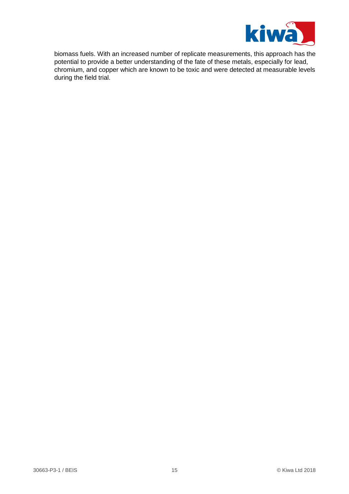

biomass fuels. With an increased number of replicate measurements, this approach has the potential to provide a better understanding of the fate of these metals, especially for lead, chromium, and copper which are known to be toxic and were detected at measurable levels during the field trial.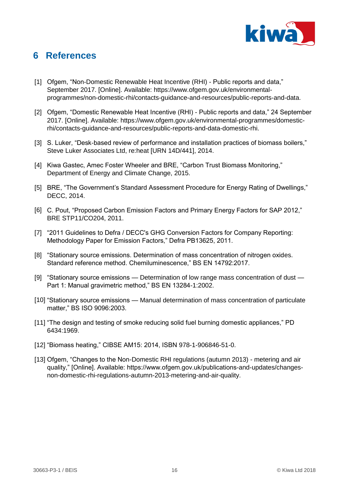

# <span id="page-19-0"></span>**6 References**

- [1] Ofgem, "Non-Domestic Renewable Heat Incentive (RHI) Public reports and data," September 2017. [Online]. Available: https://www.ofgem.gov.uk/environmentalprogrammes/non-domestic-rhi/contacts-guidance-and-resources/public-reports-and-data.
- [2] Ofgem, "Domestic Renewable Heat Incentive (RHI) Public reports and data," 24 September 2017. [Online]. Available: https://www.ofgem.gov.uk/environmental-programmes/domesticrhi/contacts-guidance-and-resources/public-reports-and-data-domestic-rhi.
- [3] S. Luker, "Desk-based review of performance and installation practices of biomass boilers," Steve Luker Associates Ltd, re:heat [URN 14D/441], 2014.
- [4] Kiwa Gastec, Amec Foster Wheeler and BRE, "Carbon Trust Biomass Monitoring," Department of Energy and Climate Change, 2015.
- [5] BRE, "The Government's Standard Assessment Procedure for Energy Rating of Dwellings," DECC, 2014.
- [6] C. Pout, "Proposed Carbon Emission Factors and Primary Energy Factors for SAP 2012," BRE STP11/CO204, 2011.
- [7] "2011 Guidelines to Defra / DECC's GHG Conversion Factors for Company Reporting: Methodology Paper for Emission Factors," Defra PB13625, 2011.
- [8] "Stationary source emissions. Determination of mass concentration of nitrogen oxides. Standard reference method. Chemiluminescence," BS EN 14792:2017.
- [9] "Stationary source emissions Determination of low range mass concentration of dust Part 1: Manual gravimetric method," BS EN 13284-1:2002.
- [10] "Stationary source emissions Manual determination of mass concentration of particulate matter," BS ISO 9096:2003.
- [11] "The design and testing of smoke reducing solid fuel burning domestic appliances," PD 6434:1969.
- [12] "Biomass heating," CIBSE AM15: 2014, ISBN 978-1-906846-51-0.
- [13] Ofgem, "Changes to the Non-Domestic RHI regulations (autumn 2013) metering and air quality," [Online]. Available: https://www.ofgem.gov.uk/publications-and-updates/changesnon-domestic-rhi-regulations-autumn-2013-metering-and-air-quality.